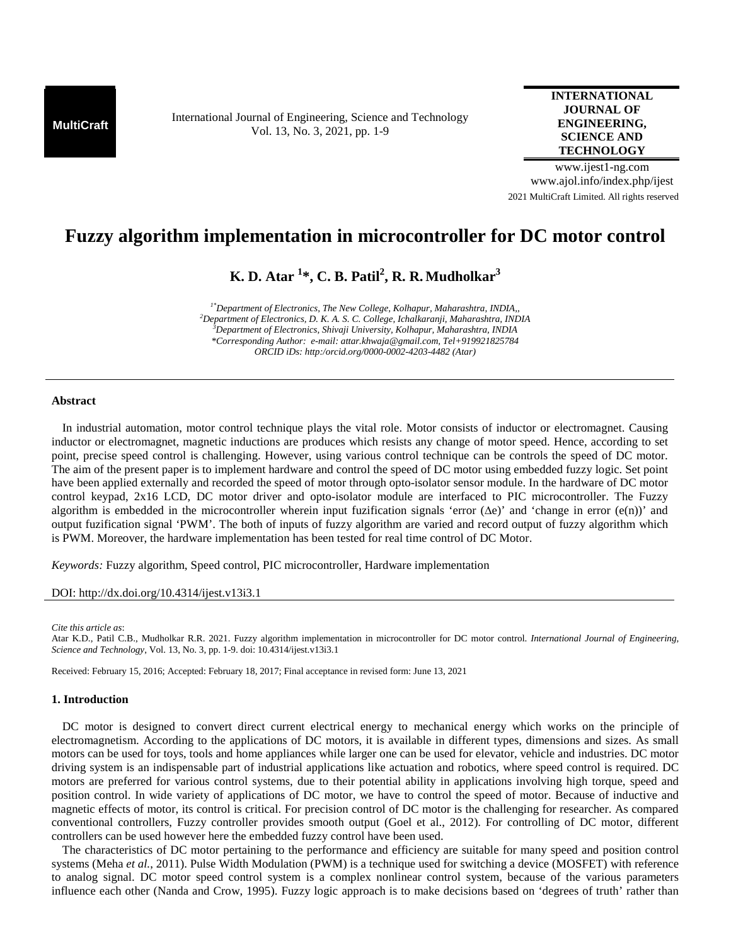**MultiCraft** International Journal of Engineering, Science and Technology Vol. 13, No. 3, 2021, pp. 1-9

## **INTERNATIONAL JOURNAL OF ENGINEERING, SCIENCE AND TECHNOLOGY**

www.ijest1-ng.com www.ajol.info/index.php/ijest 2021 MultiCraft Limited. All rights reserved

# **Fuzzy algorithm implementation in microcontroller for DC motor control**

**K. D. Atar <sup>1</sup> \*, C. B. Patil<sup>2</sup> , R. R. Mudholkar<sup>3</sup>** 

*1\*Department of Electronics, The New College, Kolhapur, Maharashtra, INDIA,, <sup>2</sup>Department of Electronics, D. K. A. S. C. College, Ichalkaranji, Maharashtra, INDIA <sup>3</sup>Department of Electronics, Shivaji University, Kolhapur, Maharashtra, INDIA \*Corresponding Author: e-mail: attar.khwaja@gmail.com, Tel+919921825784 ORCID iDs: http:/orcid.org/0000-0002-4203-4482 (Atar)* 

## **Abstract**

In industrial automation, motor control technique plays the vital role. Motor consists of inductor or electromagnet. Causing inductor or electromagnet, magnetic inductions are produces which resists any change of motor speed. Hence, according to set point, precise speed control is challenging. However, using various control technique can be controls the speed of DC motor. The aim of the present paper is to implement hardware and control the speed of DC motor using embedded fuzzy logic. Set point have been applied externally and recorded the speed of motor through opto-isolator sensor module. In the hardware of DC motor control keypad, 2x16 LCD, DC motor driver and opto-isolator module are interfaced to PIC microcontroller. The Fuzzy algorithm is embedded in the microcontroller wherein input fuzification signals 'error ( $\Delta e$ )' and 'change in error  $(e(n))$ ' and output fuzification signal 'PWM'. The both of inputs of fuzzy algorithm are varied and record output of fuzzy algorithm which is PWM. Moreover, the hardware implementation has been tested for real time control of DC Motor.

*Keywords:* Fuzzy algorithm, Speed control, PIC microcontroller, Hardware implementation

DOI: http://dx.doi.org/10.4314/ijest.v13i3.1

*Cite this article as*:

Atar K.D., Patil C.B., Mudholkar R.R. 2021. Fuzzy algorithm implementation in microcontroller for DC motor control. *International Journal of Engineering, Science and Technology*, Vol. 13, No. 3, pp. 1-9. doi: 10.4314/ijest.v13i3.1

Received: February 15, 2016; Accepted: February 18, 2017; Final acceptance in revised form: June 13, 2021

## **1. Introduction**

DC motor is designed to convert direct current electrical energy to mechanical energy which works on the principle of electromagnetism. According to the applications of DC motors, it is available in different types, dimensions and sizes. As small motors can be used for toys, tools and home appliances while larger one can be used for elevator, vehicle and industries. DC motor driving system is an indispensable part of industrial applications like actuation and robotics, where speed control is required. DC motors are preferred for various control systems, due to their potential ability in applications involving high torque, speed and position control. In wide variety of applications of DC motor, we have to control the speed of motor. Because of inductive and magnetic effects of motor, its control is critical. For precision control of DC motor is the challenging for researcher. As compared conventional controllers, Fuzzy controller provides smooth output (Goel et al., 2012). For controlling of DC motor, different controllers can be used however here the embedded fuzzy control have been used.

The characteristics of DC motor pertaining to the performance and efficiency are suitable for many speed and position control systems (Meha *et al.*, 2011). Pulse Width Modulation (PWM) is a technique used for switching a device (MOSFET) with reference to analog signal. DC motor speed control system is a complex nonlinear control system, because of the various parameters influence each other (Nanda and Crow, 1995). Fuzzy logic approach is to make decisions based on 'degrees of truth' rather than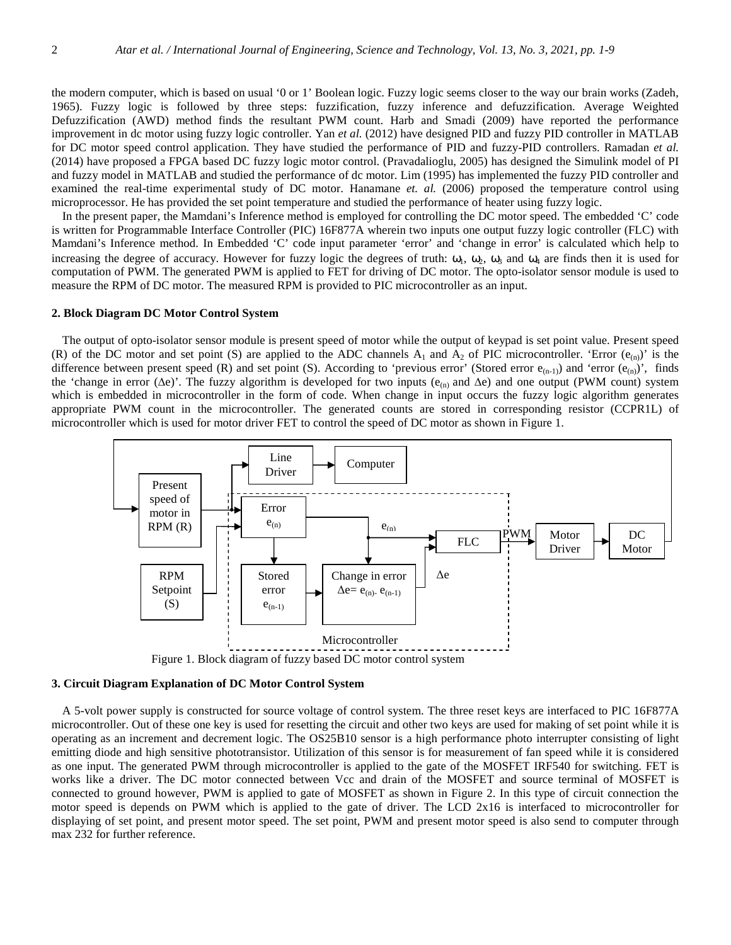the modern computer, which is based on usual '0 or 1' Boolean logic. Fuzzy logic seems closer to the way our brain works (Zadeh, 1965). Fuzzy logic is followed by three steps: fuzzification, fuzzy inference and defuzzification. Average Weighted Defuzzification (AWD) method finds the resultant PWM count. Harb and Smadi (2009) have reported the performance improvement in dc motor using fuzzy logic controller. Yan *et al.* (2012) have designed PID and fuzzy PID controller in MATLAB for DC motor speed control application. They have studied the performance of PID and fuzzy-PID controllers. Ramadan *et al.* (2014) have proposed a FPGA based DC fuzzy logic motor control. (Pravadalioglu, 2005) has designed the Simulink model of PI and fuzzy model in MATLAB and studied the performance of dc motor. Lim (1995) has implemented the fuzzy PID controller and examined the real-time experimental study of DC motor. Hanamane *et. al.* (2006) proposed the temperature control using microprocessor. He has provided the set point temperature and studied the performance of heater using fuzzy logic.

In the present paper, the Mamdani's Inference method is employed for controlling the DC motor speed. The embedded 'C' code is written for Programmable Interface Controller (PIC) 16F877A wherein two inputs one output fuzzy logic controller (FLC) with Mamdani's Inference method. In Embedded 'C' code input parameter 'error' and 'change in error' is calculated which help to increasing the degree of accuracy. However for fuzzy logic the degrees of truth:  $\omega_1$ ,  $\omega_2$ ,  $\omega_3$  and  $\omega_4$  are finds then it is used for computation of PWM. The generated PWM is applied to FET for driving of DC motor. The opto-isolator sensor module is used to measure the RPM of DC motor. The measured RPM is provided to PIC microcontroller as an input.

## **2. Block Diagram DC Motor Control System**

The output of opto-isolator sensor module is present speed of motor while the output of keypad is set point value. Present speed (R) of the DC motor and set point (S) are applied to the ADC channels  $A_1$  and  $A_2$  of PIC microcontroller. 'Error ( $e_{(n)}$ )' is the difference between present speed (R) and set point (S). According to 'previous error' (Stored error  $e_{(n-1)}$ ) and 'error  $(e_{(n)})$ ', finds the 'change in error ( $\Delta e$ )'. The fuzzy algorithm is developed for two inputs ( $e_{(n)}$  and  $\Delta e$ ) and one output (PWM count) system which is embedded in microcontroller in the form of code. When change in input occurs the fuzzy logic algorithm generates appropriate PWM count in the microcontroller. The generated counts are stored in corresponding resistor (CCPR1L) of microcontroller which is used for motor driver FET to control the speed of DC motor as shown in Figure 1.



Figure 1. Block diagram of fuzzy based DC motor control system

#### **3. Circuit Diagram Explanation of DC Motor Control System**

A 5-volt power supply is constructed for source voltage of control system. The three reset keys are interfaced to PIC 16F877A microcontroller. Out of these one key is used for resetting the circuit and other two keys are used for making of set point while it is operating as an increment and decrement logic. The OS25B10 sensor is a high performance photo interrupter consisting of light emitting diode and high sensitive phototransistor. Utilization of this sensor is for measurement of fan speed while it is considered as one input. The generated PWM through microcontroller is applied to the gate of the MOSFET IRF540 for switching. FET is works like a driver. The DC motor connected between Vcc and drain of the MOSFET and source terminal of MOSFET is connected to ground however, PWM is applied to gate of MOSFET as shown in Figure 2. In this type of circuit connection the motor speed is depends on PWM which is applied to the gate of driver. The LCD 2x16 is interfaced to microcontroller for displaying of set point, and present motor speed. The set point, PWM and present motor speed is also send to computer through max 232 for further reference.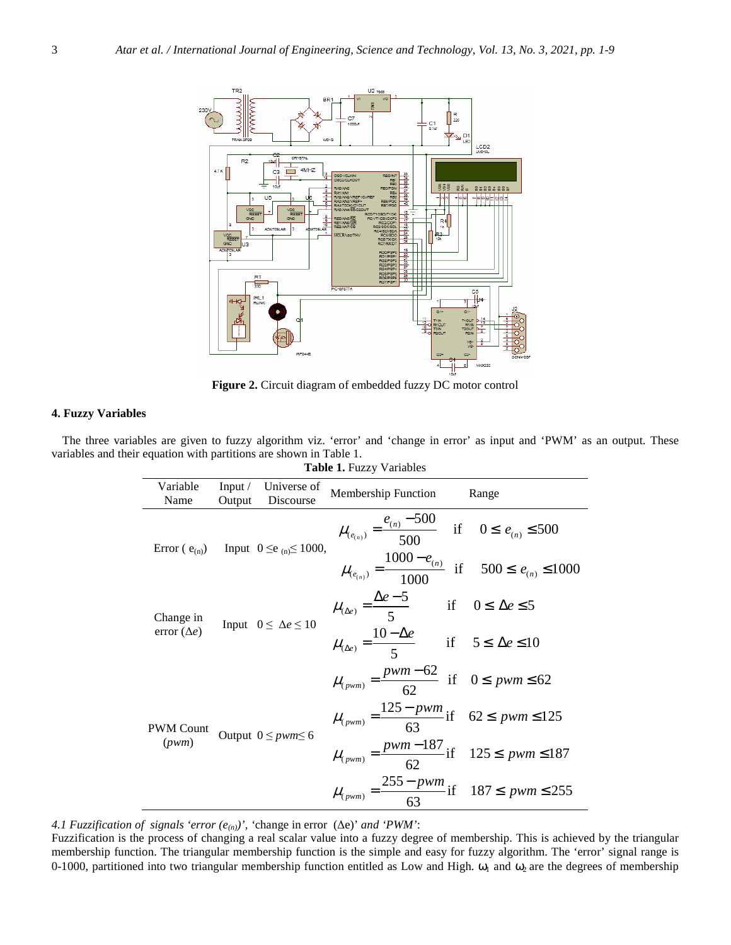

**Figure 2.** Circuit diagram of embedded fuzzy DC motor control

# **4. Fuzzy Variables**

The three variables are given to fuzzy algorithm viz. 'error' and 'change in error' as input and 'PWM' as an output. These variables and their equation with partitions are shown in Table 1.

| Variable<br>Name                | Input $\sqrt{ }$<br>Output | Universe of<br>Discourse                             | <b>Membership Function</b>                                                    | Range |
|---------------------------------|----------------------------|------------------------------------------------------|-------------------------------------------------------------------------------|-------|
|                                 |                            | Error ( $e_{(n)}$ ) Input $0 \le e_{(n)} \le 1000$ , | $\mu_{(e_{(n)})} = \frac{e_{(n)} - 500}{500}$ if $0 \le e_{(n)} \le 500$      |       |
|                                 |                            |                                                      | $\mu_{(e_{(n)})} = \frac{1000 - e_{(n)}}{1000}$ if $500 \le e_{(n)} \le 1000$ |       |
| Change in<br>error $(\Delta e)$ |                            | Input $0 \leq \Delta e \leq 10$                      | $\mu_{(\Delta e)} = \frac{\Delta e - 5}{5}$ if $0 \le \Delta e \le 5$         |       |
|                                 |                            |                                                      | $\mu_{(\Delta e)} = \frac{10 - \Delta e}{5}$ if $5 \le \Delta e \le 10$       |       |
| <b>PWM Count</b><br>(pwm)       | Output $0 \leq pwm \leq 6$ |                                                      | $\mu_{(pwm)} = \frac{pwm - 62}{62}$ if $0 \leq pwm \leq 62$                   |       |
|                                 |                            |                                                      | $\mu_{(pwm)} = \frac{125 - pwm}{63}$ if 62 \le pwm \le 125                    |       |
|                                 |                            |                                                      | $\mu_{(pwm)} = \frac{pwm - 187}{62}$ if 125 $\leq pwm \leq 187$               |       |
|                                 |                            |                                                      | $\mu_{(pwm)} = \frac{255 - pwm}{63}$ if 187 $\leq pwm \leq 255$               |       |

**Table 1.** Fuzzy Variables

*4.1 Fuzzification of signals 'error*  $(e_{(n)})$ ', 'change in error ( $\Delta e$ )' *and 'PWM*':

Fuzzification is the process of changing a real scalar value into a fuzzy degree of membership. This is achieved by the triangular membership function. The triangular membership function is the simple and easy for fuzzy algorithm. The 'error' signal range is 0-1000, partitioned into two triangular membership function entitled as Low and High.  $\omega_1$  and  $\omega_2$  are the degrees of membership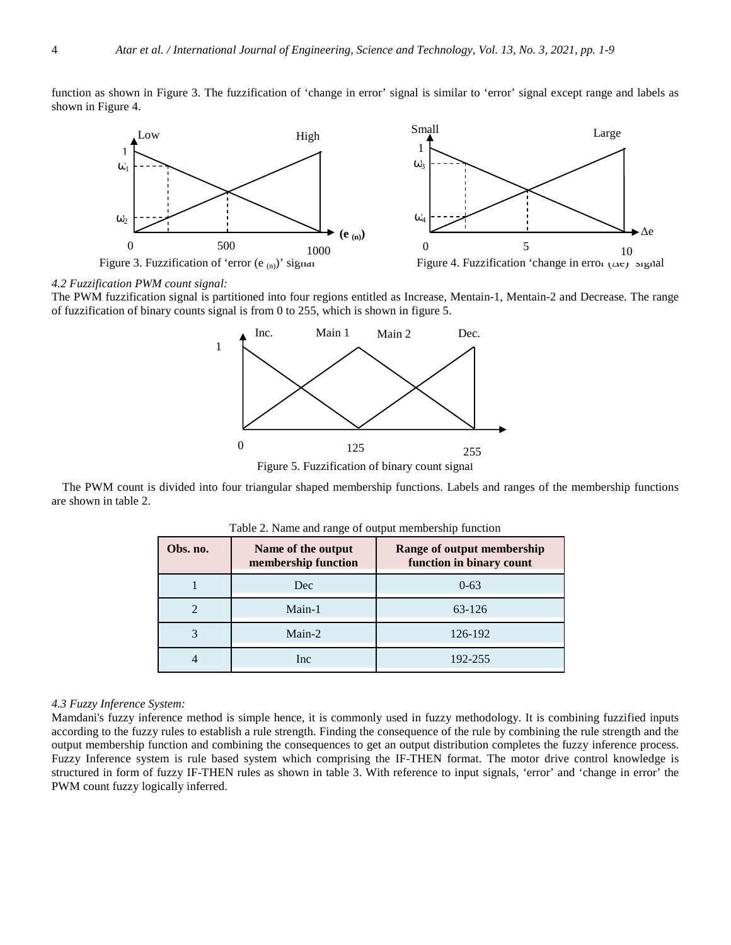function as shown in Figure 3. The fuzzification of 'change in error' signal is similar to 'error' signal except range and labels as shown in Figure 4.



# *4.2 Fuzzification PWM count signal:*

The PWM fuzzification signal is partitioned into four regions entitled as Increase, Mentain-1, Mentain-2 and Decrease. The range of fuzzification of binary counts signal is from 0 to 255, which is shown in figure 5.



Figure 5. Fuzzification of binary count signal

The PWM count is divided into four triangular shaped membership functions. Labels and ranges of the membership functions are shown in table 2.

| Obs. no. | Name of the output<br>membership function | Range of output membership<br>function in binary count |
|----------|-------------------------------------------|--------------------------------------------------------|
|          | Dec                                       | $0 - 63$                                               |
|          | Main-1                                    | 63-126                                                 |
| 3        | Main-2                                    | 126-192                                                |
| 4        | Inc                                       | 192-255                                                |

Table 2. Name and range of output membership function

#### *4.3 Fuzzy Inference System:*

Mamdani's fuzzy inference method is simple hence, it is commonly used in fuzzy methodology. It is combining fuzzified inputs according to the fuzzy rules to establish a rule strength. Finding the consequence of the rule by combining the rule strength and the output membership function and combining the consequences to get an output distribution completes the fuzzy inference process. Fuzzy Inference system is rule based system which comprising the IF-THEN format. The motor drive control knowledge is structured in form of fuzzy IF-THEN rules as shown in table 3. With reference to input signals, 'error' and 'change in error' the PWM count fuzzy logically inferred.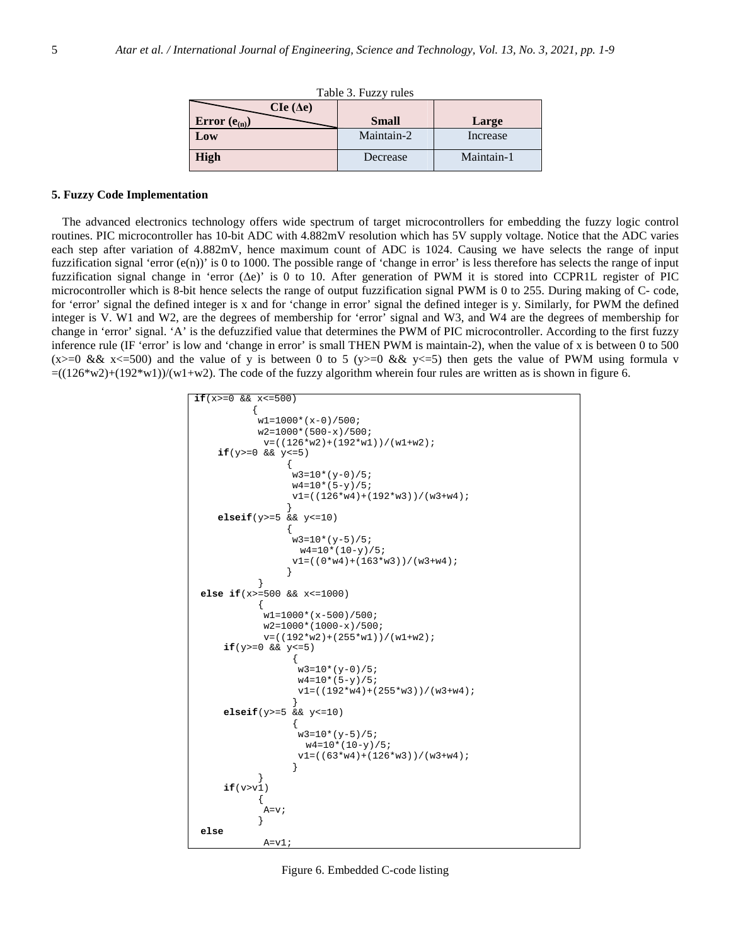| Table 3. Fuzzy rules |              |            |  |  |
|----------------------|--------------|------------|--|--|
| $C Ie ( \Delta e )$  |              |            |  |  |
| Error $(e_{(n)})$    | <b>Small</b> | Large      |  |  |
| Low                  | Maintain-2   | Increase   |  |  |
| <b>High</b>          | Decrease     | Maintain-1 |  |  |

## **5. Fuzzy Code Implementation**

The advanced electronics technology offers wide spectrum of target microcontrollers for embedding the fuzzy logic control routines. PIC microcontroller has 10-bit ADC with 4.882mV resolution which has 5V supply voltage. Notice that the ADC varies each step after variation of 4.882mV, hence maximum count of ADC is 1024. Causing we have selects the range of input fuzzification signal 'error  $(e(n))$ ' is 0 to 1000. The possible range of 'change in error' is less therefore has selects the range of input fuzzification signal change in 'error (∆e)' is 0 to 10. After generation of PWM it is stored into CCPR1L register of PIC microcontroller which is 8-bit hence selects the range of output fuzzification signal PWM is 0 to 255. During making of C- code, for 'error' signal the defined integer is x and for 'change in error' signal the defined integer is y. Similarly, for PWM the defined integer is V. W1 and W2, are the degrees of membership for 'error' signal and W3, and W4 are the degrees of membership for change in 'error' signal. 'A' is the defuzzified value that determines the PWM of PIC microcontroller. According to the first fuzzy inference rule (IF 'error' is low and 'change in error' is small THEN PWM is maintain-2), when the value of x is between 0 to 500 (x>=0 && x<=500) and the value of y is between 0 to 5 (y>=0 && y<=5) then gets the value of PWM using formula v  $=((126*w2)+(192*w1))/(w1+w2)$ . The code of the fuzzy algorithm wherein four rules are written as is shown in figure 6.

```
if(x>=0 && x<=500) 
\{ w1=1000*(x-0)/500; 
         w2=1000*(500-x)/500; 
          v=((126*w2)+(192*w1))/(w1+w2); 
   if(y>=0 && y<=5) 
\{ w3=10*(y-0)/5; 
             w4=10*(5-y)/5;v1=((126*w4)+(192*w3))/(w3+w4);
 } 
   elseif(y>=5 && y<=10) 
\{w3=10*(y-5)/5; w4=10*(10-y)/5; 
             v1=((0*w4)+(163*w3))/(w3+w4);
 } 
 } 
else if(x>=500 && x<=1000) 
\{w1=1000*(x-500)/500;
          w2=1000*(1000-x)/500; 
         v = ((192*w2) + (255*w1)) / (w1+w2);
    if(y>=0 && y<=5) 
{
               w3=10*(y-0)/5; 
              w4=10*(5-y)/5; v1=((192*w4)+(255*w3))/(w3+w4); 
 } 
    elseif(y>=5 && y<=10) 
{
              w3=10*(y-5)/5;<code>w4=10*(10-y)/5;</code>
               v1=((63*w4)+(126*w3))/(w3+w4); 
 } 
 } 
   if(v>vi)\{A=V } 
else
         A = v1;
```
Figure 6. Embedded C-code listing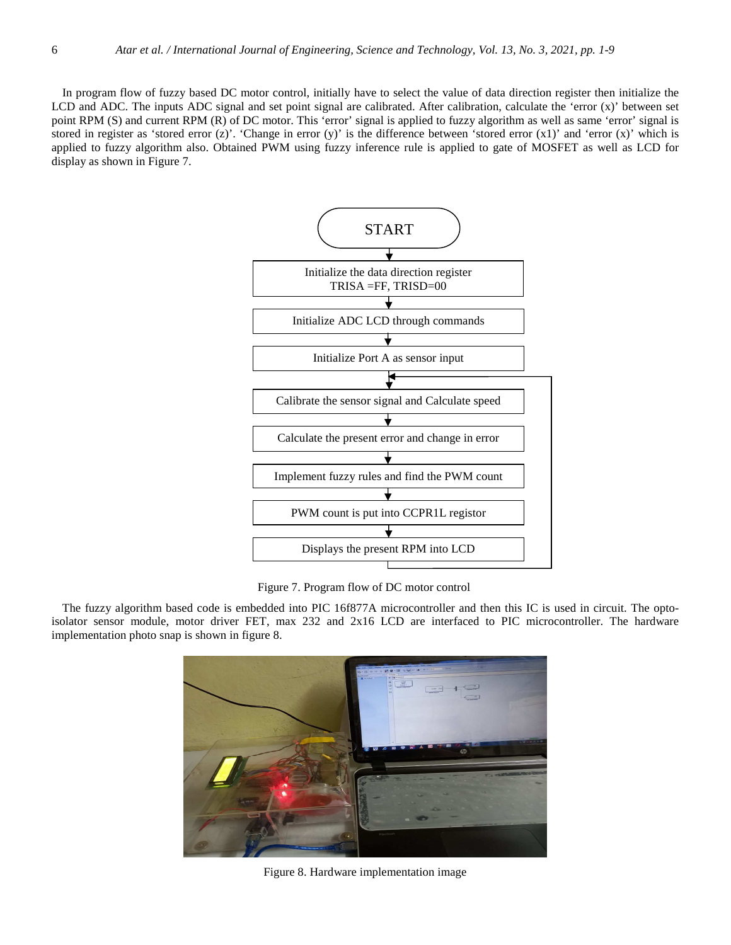In program flow of fuzzy based DC motor control, initially have to select the value of data direction register then initialize the LCD and ADC. The inputs ADC signal and set point signal are calibrated. After calibration, calculate the 'error (x)' between set point RPM (S) and current RPM (R) of DC motor. This 'error' signal is applied to fuzzy algorithm as well as same 'error' signal is stored in register as 'stored error  $(z)$ '. 'Change in error  $(y)$ ' is the difference between 'stored error  $(x1)$ ' and 'error  $(x)$ ' which is applied to fuzzy algorithm also. Obtained PWM using fuzzy inference rule is applied to gate of MOSFET as well as LCD for display as shown in Figure 7.



Figure 7. Program flow of DC motor control

The fuzzy algorithm based code is embedded into PIC 16f877A microcontroller and then this IC is used in circuit. The optoisolator sensor module, motor driver FET, max 232 and 2x16 LCD are interfaced to PIC microcontroller. The hardware implementation photo snap is shown in figure 8.



Figure 8. Hardware implementation image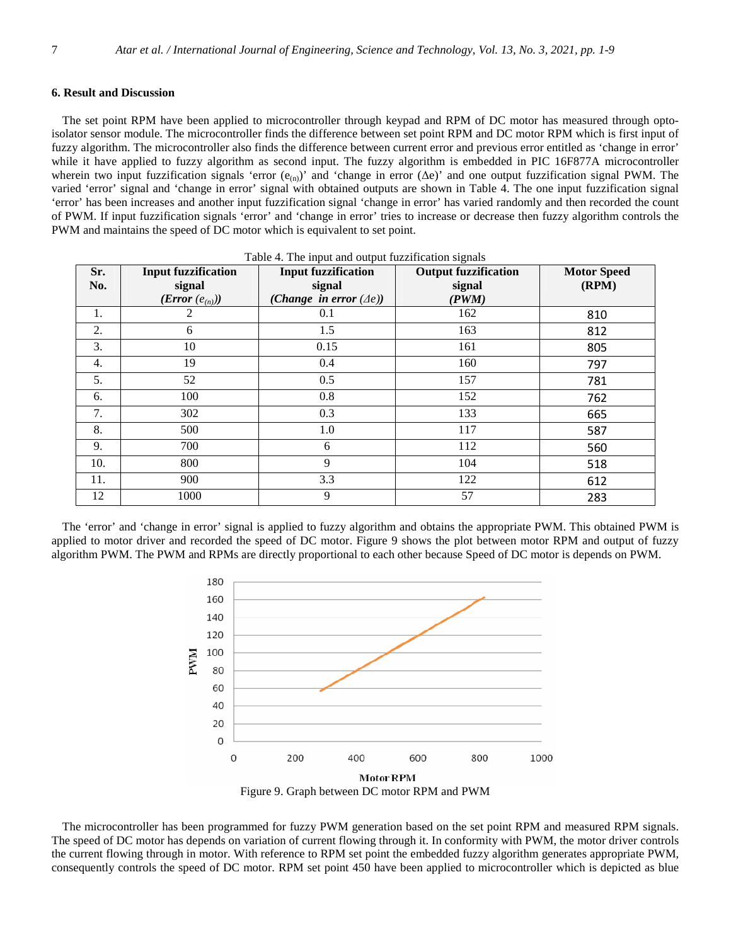## **6. Result and Discussion**

The set point RPM have been applied to microcontroller through keypad and RPM of DC motor has measured through optoisolator sensor module. The microcontroller finds the difference between set point RPM and DC motor RPM which is first input of fuzzy algorithm. The microcontroller also finds the difference between current error and previous error entitled as 'change in error' while it have applied to fuzzy algorithm as second input. The fuzzy algorithm is embedded in PIC 16F877A microcontroller wherein two input fuzzification signals 'error  $(e_{(n)})$ ' and 'change in error ( $\Delta e$ )' and one output fuzzification signal PWM. The varied 'error' signal and 'change in error' signal with obtained outputs are shown in Table 4. The one input fuzzification signal 'error' has been increases and another input fuzzification signal 'change in error' has varied randomly and then recorded the count of PWM. If input fuzzification signals 'error' and 'change in error' tries to increase or decrease then fuzzy algorithm controls the PWM and maintains the speed of DC motor which is equivalent to set point.

| Sr.<br>No. | <b>Input fuzzification</b><br>signal | <b>Input fuzzification</b><br>signal | <b>Output fuzzification</b><br>signal | <b>Motor Speed</b><br>(RPM) |
|------------|--------------------------------------|--------------------------------------|---------------------------------------|-----------------------------|
|            | $(\text{Error}(e_{(n)}))$            | (Change in error $(\Delta e)$ )      | (PWM)                                 |                             |
| 1.         | 2                                    | 0.1                                  | 162                                   | 810                         |
| 2.         | 6                                    | 1.5                                  | 163                                   | 812                         |
| 3.         | 10                                   | 0.15                                 | 161                                   | 805                         |
| 4.         | 19                                   | 0.4                                  | 160                                   | 797                         |
| 5.         | 52                                   | 0.5                                  | 157                                   | 781                         |
| 6.         | 100                                  | 0.8                                  | 152                                   | 762                         |
| 7.         | 302                                  | 0.3                                  | 133                                   | 665                         |
| 8.         | 500                                  | 1.0                                  | 117                                   | 587                         |
| 9.         | 700                                  | 6                                    | 112                                   | 560                         |
| 10.        | 800                                  | 9                                    | 104                                   | 518                         |
| 11.        | 900                                  | 3.3                                  | 122                                   | 612                         |
| 12         | 1000                                 | 9                                    | 57                                    | 283                         |

|  | Table 4. The input and output fuzzification signals |  |
|--|-----------------------------------------------------|--|
|  |                                                     |  |

The 'error' and 'change in error' signal is applied to fuzzy algorithm and obtains the appropriate PWM. This obtained PWM is applied to motor driver and recorded the speed of DC motor. Figure 9 shows the plot between motor RPM and output of fuzzy algorithm PWM. The PWM and RPMs are directly proportional to each other because Speed of DC motor is depends on PWM.



Figure 9. Graph between DC motor RPM and PWM

The microcontroller has been programmed for fuzzy PWM generation based on the set point RPM and measured RPM signals. The speed of DC motor has depends on variation of current flowing through it. In conformity with PWM, the motor driver controls the current flowing through in motor. With reference to RPM set point the embedded fuzzy algorithm generates appropriate PWM, consequently controls the speed of DC motor. RPM set point 450 have been applied to microcontroller which is depicted as blue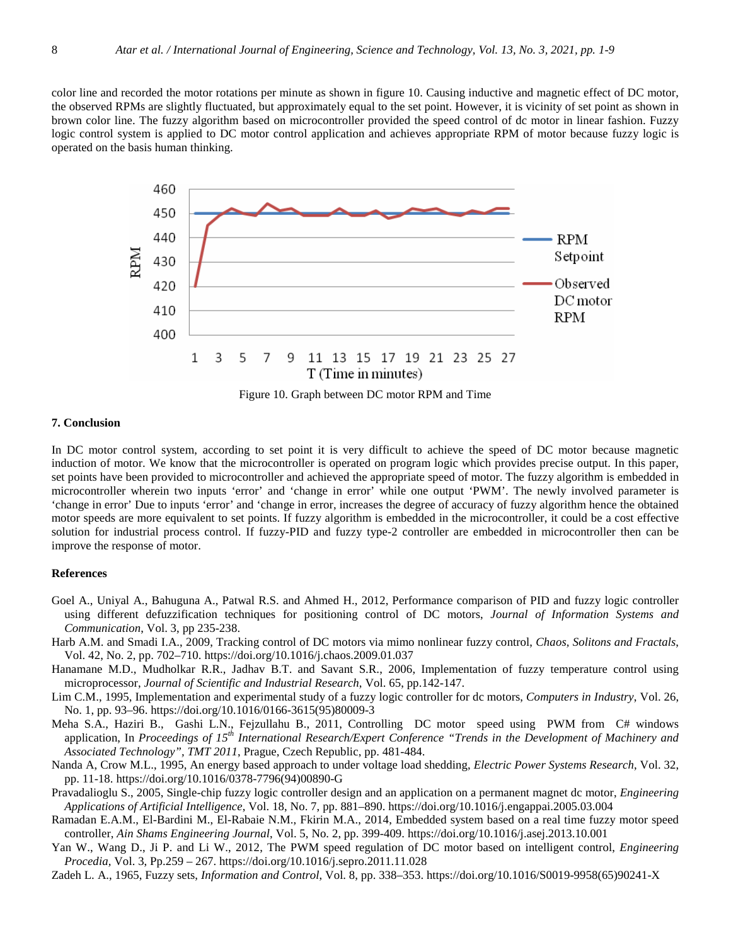color line and recorded the motor rotations per minute as shown in figure 10. Causing inductive and magnetic effect of DC motor, the observed RPMs are slightly fluctuated, but approximately equal to the set point. However, it is vicinity of set point as shown in brown color line. The fuzzy algorithm based on microcontroller provided the speed control of dc motor in linear fashion. Fuzzy logic control system is applied to DC motor control application and achieves appropriate RPM of motor because fuzzy logic is operated on the basis human thinking.



Figure 10. Graph between DC motor RPM and Time

## **7. Conclusion**

In DC motor control system, according to set point it is very difficult to achieve the speed of DC motor because magnetic induction of motor. We know that the microcontroller is operated on program logic which provides precise output. In this paper, set points have been provided to microcontroller and achieved the appropriate speed of motor. The fuzzy algorithm is embedded in microcontroller wherein two inputs 'error' and 'change in error' while one output 'PWM'. The newly involved parameter is 'change in error' Due to inputs 'error' and 'change in error, increases the degree of accuracy of fuzzy algorithm hence the obtained motor speeds are more equivalent to set points. If fuzzy algorithm is embedded in the microcontroller, it could be a cost effective solution for industrial process control. If fuzzy-PID and fuzzy type-2 controller are embedded in microcontroller then can be improve the response of motor.

## **References**

- Goel A., Uniyal A., Bahuguna A., Patwal R.S. and Ahmed H., 2012, Performance comparison of PID and fuzzy logic controller using different defuzzification techniques for positioning control of DC motors, *Journal of Information Systems and Communication*, Vol. 3, pp 235-238.
- Harb A.M. and Smadi I.A., 2009, Tracking control of DC motors via mimo nonlinear fuzzy control, *Chaos, Solitons and Fractals*, Vol. 42, No. 2, pp. 702–710. https://doi.org/10.1016/j.chaos.2009.01.037
- Hanamane M.D., Mudholkar R.R., Jadhav B.T. and Savant S.R., 2006, Implementation of fuzzy temperature control using microprocessor, *Journal of Scientific and Industrial Research*, Vol. 65, pp.142-147.
- Lim C.M., 1995, Implementation and experimental study of a fuzzy logic controller for dc motors, *Computers in Industry*, Vol. 26, No. 1, pp. 93–96. https://doi.org/10.1016/0166-3615(95)80009-3
- Meha S.A., Haziri B., Gashi L.N., Fejzullahu B., 2011, Controlling DC motor speed using PWM from C# windows application, In *Proceedings of 15th International Research/Expert Conference "Trends in the Development of Machinery and Associated Technology", TMT 2011*, Prague, Czech Republic, pp. 481-484.
- Nanda A, Crow M.L., 1995, An energy based approach to under voltage load shedding, *Electric Power Systems Research*, Vol. 32, pp. 11-18. https://doi.org/10.1016/0378-7796(94)00890-G
- Pravadalioglu S., 2005, Single-chip fuzzy logic controller design and an application on a permanent magnet dc motor, *Engineering Applications of Artificial Intelligence*, Vol. 18, No. 7, pp. 881–890. https://doi.org/10.1016/j.engappai.2005.03.004
- Ramadan E.A.M., El-Bardini M., El-Rabaie N.M., Fkirin M.A., 2014, Embedded system based on a real time fuzzy motor speed controller, *Ain Shams Engineering Journal*, Vol. 5, No. 2, pp. 399-409. https://doi.org/10.1016/j.asej.2013.10.001
- Yan W., Wang D., Ji P. and Li W., 2012, The PWM speed regulation of DC motor based on intelligent control, *Engineering Procedia,* Vol. 3, Pp.259 – 267. https://doi.org/10.1016/j.sepro.2011.11.028
- Zadeh L. A., 1965, Fuzzy sets, *Information and Control*, Vol. 8, pp. 338–353. https://doi.org/10.1016/S0019-9958(65)90241-X